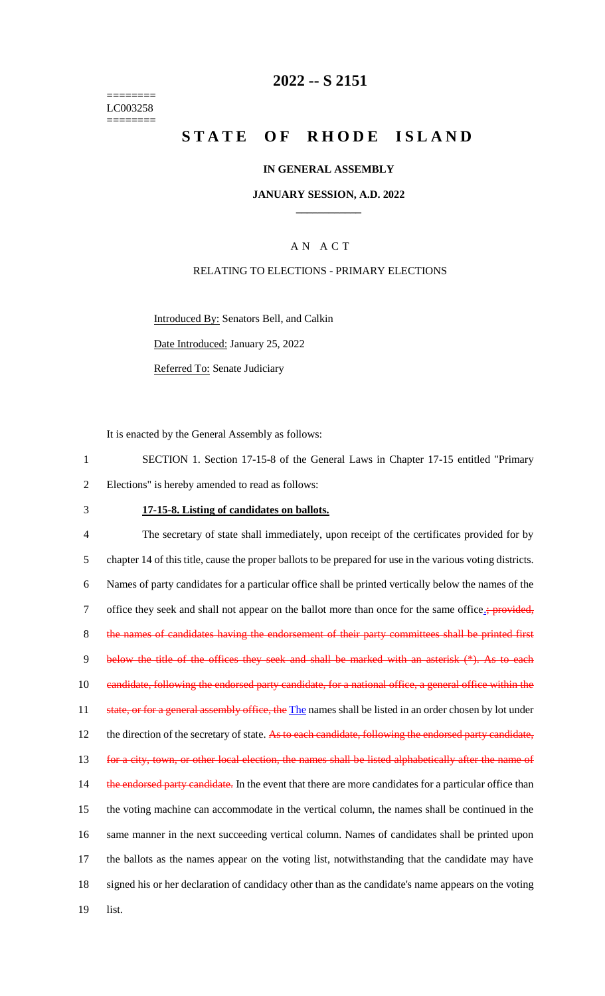======== LC003258 ========

## **2022 -- S 2151**

# **STATE OF RHODE ISLAND**

#### **IN GENERAL ASSEMBLY**

#### **JANUARY SESSION, A.D. 2022 \_\_\_\_\_\_\_\_\_\_\_\_**

## A N A C T

#### RELATING TO ELECTIONS - PRIMARY ELECTIONS

Introduced By: Senators Bell, and Calkin

Date Introduced: January 25, 2022

Referred To: Senate Judiciary

It is enacted by the General Assembly as follows:

1 SECTION 1. Section 17-15-8 of the General Laws in Chapter 17-15 entitled "Primary 2 Elections" is hereby amended to read as follows:

### 3 **17-15-8. Listing of candidates on ballots.**

4 The secretary of state shall immediately, upon receipt of the certificates provided for by 5 chapter 14 of this title, cause the proper ballots to be prepared for use in the various voting districts. 6 Names of party candidates for a particular office shall be printed vertically below the names of the 7 office they seek and shall not appear on the ballot more than once for the same office.; provided, 8 the names of candidates having the endorsement of their party committees shall be printed first 9 below the title of the offices they seek and shall be marked with an asterisk (\*). As to each 10 candidate, following the endorsed party candidate, for a national office, a general office within the 11 state, or for a general assembly office, the The names shall be listed in an order chosen by lot under 12 the direction of the secretary of state. As to each candidate, following the endorsed party candidate, 13 for a city, town, or other local election, the names shall be listed alphabetically after the name of 14 the endorsed party candidate. In the event that there are more candidates for a particular office than 15 the voting machine can accommodate in the vertical column, the names shall be continued in the 16 same manner in the next succeeding vertical column. Names of candidates shall be printed upon 17 the ballots as the names appear on the voting list, notwithstanding that the candidate may have 18 signed his or her declaration of candidacy other than as the candidate's name appears on the voting 19 list.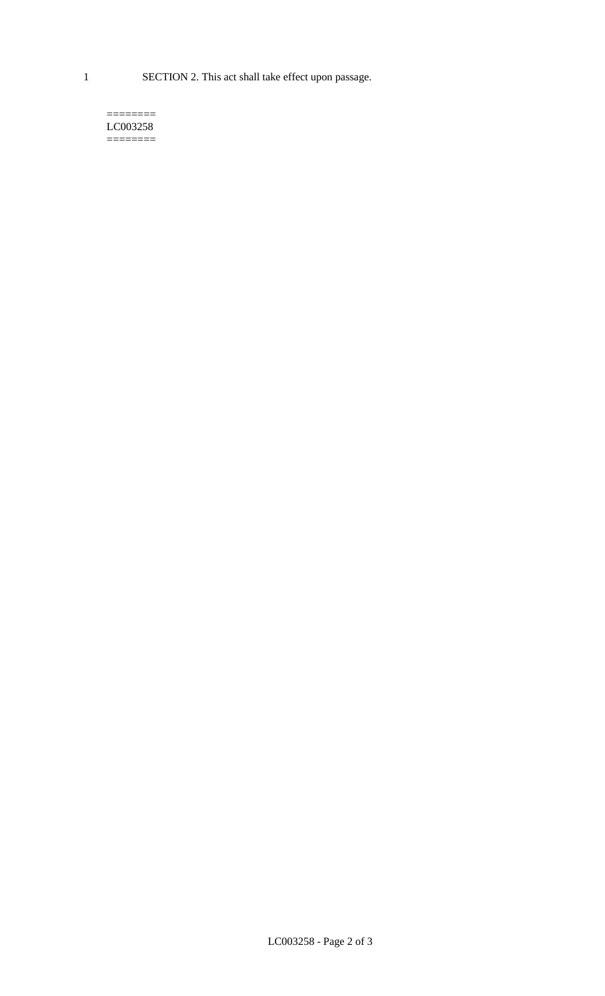1 SECTION 2. This act shall take effect upon passage.

#### $=$ LC003258  $=$